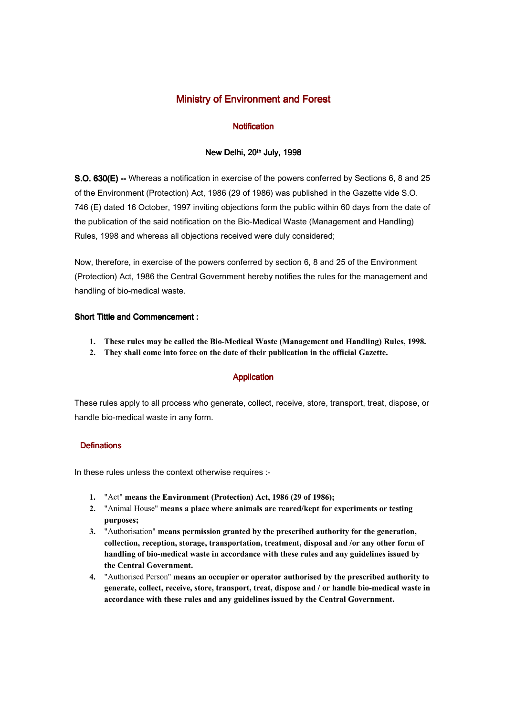## Ministry of Environment and Forest

## **Notification**

### New Delhi, 20th July, 1998

S.O. 630(E) -- Whereas a notification in exercise of the powers conferred by Sections 6, 8 and 25 of the Environment (Protection) Act, 1986 (29 of 1986) was published in the Gazette vide S.O. 746 (E) dated 16 October, 1997 inviting objections form the public within 60 days from the date of the publication of the said notification on the Bio-Medical Waste (Management and Handling) Rules, 1998 and whereas all objections received were duly considered;

Now, therefore, in exercise of the powers conferred by section 6, 8 and 25 of the Environment (Protection) Act, 1986 the Central Government hereby notifies the rules for the management and handling of bio-medical waste.

## Short Tittle and Commencement :

- **1. These rules may be called the Bio-Medical Waste (Management and Handling) Rules, 1998.**
- **2. They shall come into force on the date of their publication in the official Gazette.**

## Application

These rules apply to all process who generate, collect, receive, store, transport, treat, dispose, or handle bio-medical waste in any form.

## **Definations**

In these rules unless the context otherwise requires :-

- **1.** "Act" **means the Environment (Protection) Act, 1986 (29 of 1986);**
- **2.** "Animal House" **means a place where animals are reared/kept for experiments or testing purposes;**
- **3.** "Authorisation" **means permission granted by the prescribed authority for the generation, collection, reception, storage, transportation, treatment, disposal and /or any other form of handling of bio-medical waste in accordance with these rules and any guidelines issued by the Central Government.**
- **4.** "Authorised Person" **means an occupier or operator authorised by the prescribed authority to generate, collect, receive, store, transport, treat, dispose and / or handle bio-medical waste in accordance with these rules and any guidelines issued by the Central Government.**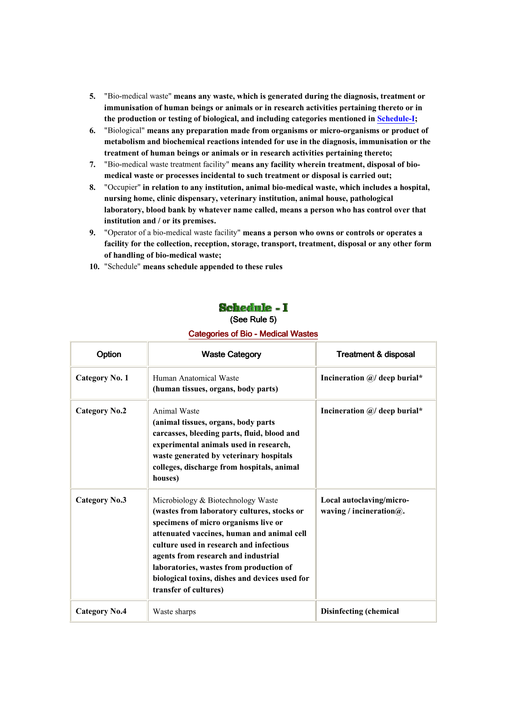- **5.** "Bio-medical waste" **means any waste, which is generated during the diagnosis, treatment or immunisation of human beings or animals or in research activities pertaining thereto or in the production or testing of biological, and including categories mentioned in Schedule-I;**
- **6.** "Biological" **means any preparation made from organisms or micro-organisms or product of metabolism and biochemical reactions intended for use in the diagnosis, immunisation or the treatment of human beings or animals or in research activities pertaining thereto;**
- **7.** "Bio-medical waste treatment facility" **means any facility wherein treatment, disposal of biomedical waste or processes incidental to such treatment or disposal is carried out;**
- **8.** "Occupier" **in relation to any institution, animal bio-medical waste, which includes a hospital, nursing home, clinic dispensary, veterinary institution, animal house, pathological laboratory, blood bank by whatever name called, means a person who has control over that institution and / or its premises.**
- **9.** "Operator of a bio-medical waste facility" **means a person who owns or controls or operates a facility for the collection, reception, storage, transport, treatment, disposal or any other form of handling of bio-medical waste;**
- **10.** "Schedule" **means schedule appended to these rules**

# Schedule - I

## (See Rule 5)

### Categories of Bio - Medical Wastes

| Option                | <b>Waste Category</b>                                                                                                                                                                                                                                                                                                                                                           | <b>Treatment &amp; disposal</b>                         |
|-----------------------|---------------------------------------------------------------------------------------------------------------------------------------------------------------------------------------------------------------------------------------------------------------------------------------------------------------------------------------------------------------------------------|---------------------------------------------------------|
| <b>Category No. 1</b> | Human Anatomical Waste<br>(human tissues, organs, body parts)                                                                                                                                                                                                                                                                                                                   | Incineration $\omega$ deep burial*                      |
| <b>Category No.2</b>  | Animal Waste<br>(animal tissues, organs, body parts<br>carcasses, bleeding parts, fluid, blood and<br>experimental animals used in research,<br>waste generated by veterinary hospitals<br>colleges, discharge from hospitals, animal<br>houses)                                                                                                                                | Incineration $\omega$ deep burial*                      |
| <b>Category No.3</b>  | Microbiology & Biotechnology Waste<br>(wastes from laboratory cultures, stocks or<br>specimens of micro organisms live or<br>attenuated vaccines, human and animal cell<br>culture used in research and infectious<br>agents from research and industrial<br>laboratories, wastes from production of<br>biological toxins, dishes and devices used for<br>transfer of cultures) | Local autoclaving/micro-<br>waving / incineration $@$ . |
| <b>Category No.4</b>  | Waste sharps                                                                                                                                                                                                                                                                                                                                                                    | Disinfecting (chemical                                  |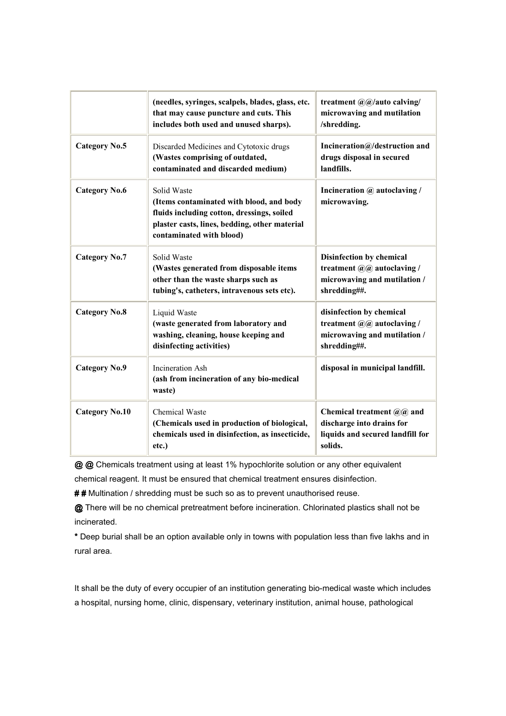|                       | (needles, syringes, scalpels, blades, glass, etc.<br>that may cause puncture and cuts. This<br>includes both used and unused sharps).                                              | treatment $\mathcal{Q}(\mathcal{Q})$ auto calving/<br>microwaving and mutilation<br>/shredding.             |
|-----------------------|------------------------------------------------------------------------------------------------------------------------------------------------------------------------------------|-------------------------------------------------------------------------------------------------------------|
| Category No.5         | Discarded Medicines and Cytotoxic drugs<br>(Wastes comprising of outdated,<br>contaminated and discarded medium)                                                                   | Incineration $@/$ destruction and<br>drugs disposal in secured<br>landfills.                                |
| <b>Category No.6</b>  | Solid Waste<br>(Items contaminated with blood, and body<br>fluids including cotton, dressings, soiled<br>plaster casts, lines, bedding, other material<br>contaminated with blood) | Incineration @ autoclaving /<br>microwaving.                                                                |
| <b>Category No.7</b>  | Solid Waste<br>(Wastes generated from disposable items<br>other than the waste sharps such as<br>tubing's, catheters, intravenous sets etc).                                       | Disinfection by chemical<br>treatment $(a/a)$ autoclaving /<br>microwaving and mutilation /<br>shredding##. |
| <b>Category No.8</b>  | Liquid Waste<br>(waste generated from laboratory and<br>washing, cleaning, house keeping and<br>disinfecting activities)                                                           | disinfection by chemical<br>treatment @@ autoclaving /<br>microwaving and mutilation /<br>shredding##.      |
| <b>Category No.9</b>  | Incineration Ash<br>(ash from incineration of any bio-medical<br>waste)                                                                                                            | disposal in municipal landfill.                                                                             |
| <b>Category No.10</b> | <b>Chemical Waste</b><br>(Chemicals used in production of biological,<br>chemicals used in disinfection, as insecticide,<br>etc.)                                                  | Chemical treatment $@@@$ and<br>discharge into drains for<br>liquids and secured landfill for<br>solids.    |

@ @ Chemicals treatment using at least 1% hypochlorite solution or any other equivalent

chemical reagent. It must be ensured that chemical treatment ensures disinfection.

## Multination / shredding must be such so as to prevent unauthorised reuse.

@ There will be no chemical pretreatment before incineration. Chlorinated plastics shall not be incinerated.

\* Deep burial shall be an option available only in towns with population less than five lakhs and in rural area.

It shall be the duty of every occupier of an institution generating bio-medical waste which includes a hospital, nursing home, clinic, dispensary, veterinary institution, animal house, pathological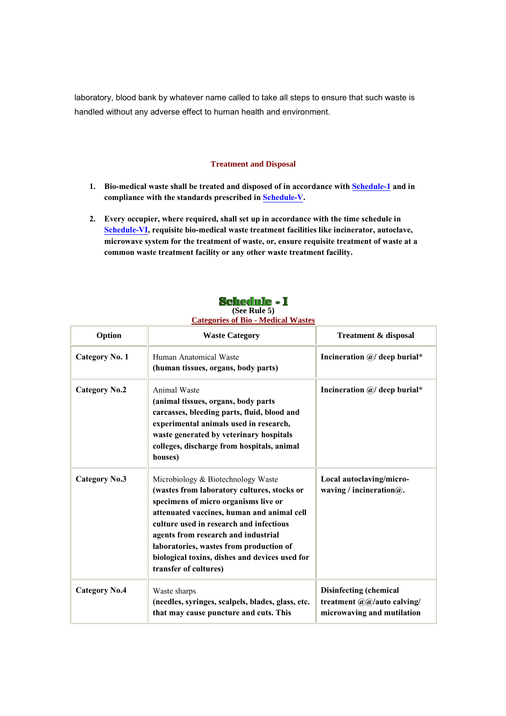laboratory, blood bank by whatever name called to take all steps to ensure that such waste is handled without any adverse effect to human health and environment.

#### **Treatment and Disposal**

- 1. Bio-medical waste shall be treated and disposed of in accordance with **Schedule-1** and in **compliance with the standards prescribed in Schedule-V.**
- **2. Every occupier, where required, shall set up in accordance with the time schedule in Schedule-VI, requisite bio-medical waste treatment facilities like incinerator, autoclave, microwave system for the treatment of waste, or, ensure requisite treatment of waste at a common waste treatment facility or any other waste treatment facility.**

| Schedule -   |  |
|--------------|--|
| (See Rule 5) |  |

## **Categories of Bio - Medical Wastes**

| Option                | <b>Waste Category</b>                                                                                                                                                                                                                                                                                                                                                           | <b>Treatment &amp; disposal</b>                                                    |
|-----------------------|---------------------------------------------------------------------------------------------------------------------------------------------------------------------------------------------------------------------------------------------------------------------------------------------------------------------------------------------------------------------------------|------------------------------------------------------------------------------------|
| <b>Category No. 1</b> | Human Anatomical Waste<br>(human tissues, organs, body parts)                                                                                                                                                                                                                                                                                                                   | Incineration $\mathcal{Q}/$ deep burial*                                           |
| <b>Category No.2</b>  | Animal Waste<br>(animal tissues, organs, body parts<br>carcasses, bleeding parts, fluid, blood and<br>experimental animals used in research,<br>waste generated by veterinary hospitals<br>colleges, discharge from hospitals, animal<br>houses)                                                                                                                                | Incineration $\mathcal{Q}/$ deep burial*                                           |
| <b>Category No.3</b>  | Microbiology & Biotechnology Waste<br>(wastes from laboratory cultures, stocks or<br>specimens of micro organisms live or<br>attenuated vaccines, human and animal cell<br>culture used in research and infectious<br>agents from research and industrial<br>laboratories, wastes from production of<br>biological toxins, dishes and devices used for<br>transfer of cultures) | Local autoclaving/micro-<br>waving / incineration $@$ .                            |
| <b>Category No.4</b>  | Waste sharps<br>(needles, syringes, scalpels, blades, glass, etc.<br>that may cause puncture and cuts. This                                                                                                                                                                                                                                                                     | Disinfecting (chemical<br>treatment @@/auto calving/<br>microwaving and mutilation |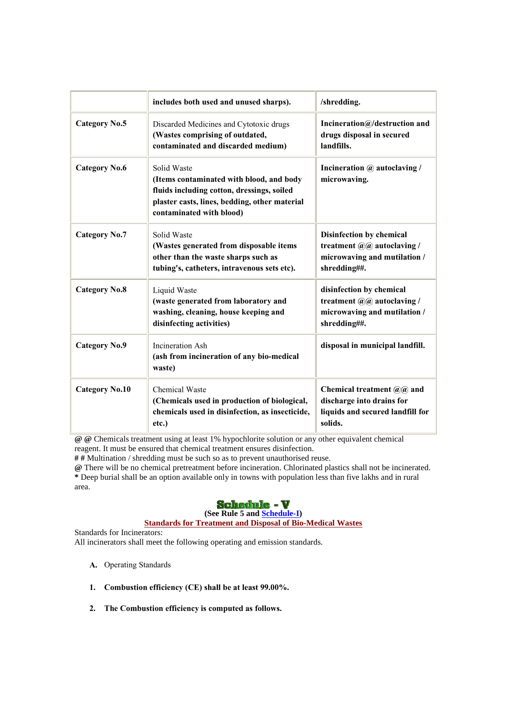|                       | includes both used and unused sharps).                                                                                                                                             | /shredding.                                                                                                 |
|-----------------------|------------------------------------------------------------------------------------------------------------------------------------------------------------------------------------|-------------------------------------------------------------------------------------------------------------|
| Category No.5         | Discarded Medicines and Cytotoxic drugs<br>(Wastes comprising of outdated,<br>contaminated and discarded medium)                                                                   | Incineration $@/$ destruction and<br>drugs disposal in secured<br>landfills.                                |
| <b>Category No.6</b>  | Solid Waste<br>(Items contaminated with blood, and body<br>fluids including cotton, dressings, soiled<br>plaster casts, lines, bedding, other material<br>contaminated with blood) | Incineration @ autoclaving /<br>microwaving.                                                                |
| <b>Category No.7</b>  | Solid Waste<br>(Wastes generated from disposable items<br>other than the waste sharps such as<br>tubing's, catheters, intravenous sets etc).                                       | Disinfection by chemical<br>treatment $(a/a)$ autoclaving /<br>microwaving and mutilation /<br>shredding##. |
| <b>Category No.8</b>  | Liquid Waste<br>(waste generated from laboratory and<br>washing, cleaning, house keeping and<br>disinfecting activities)                                                           | disinfection by chemical<br>treatment @@ autoclaving /<br>microwaving and mutilation /<br>shredding##.      |
| <b>Category No.9</b>  | <b>Incineration Ash</b><br>(ash from incineration of any bio-medical<br>waste)                                                                                                     | disposal in municipal landfill.                                                                             |
| <b>Category No.10</b> | <b>Chemical Waste</b><br>(Chemicals used in production of biological,<br>chemicals used in disinfection, as insecticide,<br>etc.)                                                  | Chemical treatment $@@@$ and<br>discharge into drains for<br>liquids and secured landfill for<br>solids.    |

**@ @** Chemicals treatment using at least 1% hypochlorite solution or any other equivalent chemical reagent. It must be ensured that chemical treatment ensures disinfection.

**# #** Multination / shredding must be such so as to prevent unauthorised reuse.

**@** There will be no chemical pretreatment before incineration. Chlorinated plastics shall not be incinerated. **\*** Deep burial shall be an option available only in towns with population less than five lakhs and in rural area.

## **Schedule - V**

## **(See Rule 5 and Schedule-I)**

## **Standards for Treatment and Disposal of Bio-Medical Wastes**

Standards for Incinerators: All incinerators shall meet the following operating and emission standards.

- **A.** Operating Standards
- **1. Combustion efficiency (CE) shall be at least 99.00%.**
- **2. The Combustion efficiency is computed as follows.**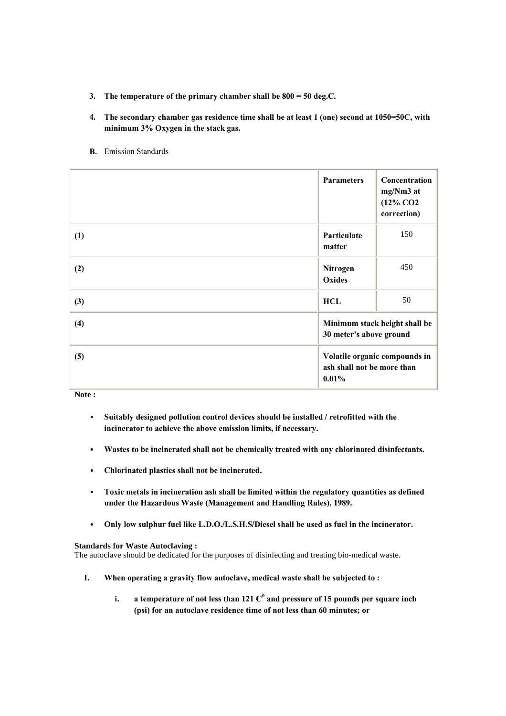- **3. The temperature of the primary chamber shall be 800 = 50 deg.C.**
- **4. The secondary chamber gas residence time shall be at least 1 (one) second at 1050=50C, with minimum 3% Oxygen in the stack gas.**
- **B.** Emission Standards

|     | <b>Parameters</b>                   | Concentration<br>mg/Nm3 at<br>$(12\%$ CO <sub>2</sub><br>correction) |
|-----|-------------------------------------|----------------------------------------------------------------------|
| (1) | Particulate<br>matter               | 150                                                                  |
| (2) | Nitrogen<br>Oxides                  | 450                                                                  |
| (3) | <b>HCL</b>                          | 50                                                                   |
| (4) | 30 meter's above ground             | Minimum stack height shall be                                        |
| (5) | ash shall not be more than<br>0.01% | Volatile organic compounds in                                        |

**Note :**

- **Suitably designed pollution control devices should be installed / retrofitted with the incinerator to achieve the above emission limits, if necessary.**
- **Wastes to be incinerated shall not be chemically treated with any chlorinated disinfectants.**
- **Chlorinated plastics shall not be incinerated.**
- **Toxic metals in incineration ash shall be limited within the regulatory quantities as defined under the Hazardous Waste (Management and Handling Rules), 1989.**
- **Only low sulphur fuel like L.D.O./L.S.H.S/Diesel shall be used as fuel in the incinerator.**

### **Standards for Waste Autoclaving :**

The autoclave should be dedicated for the purposes of disinfecting and treating bio-medical waste.

- **I. When operating a gravity flow autoclave, medical waste shall be subjected to :** 
	- **i.** a temperature of not less than 121  $\text{C}^\text{o}$  and pressure of 15 pounds per square inch  $\,$ **(psi) for an autoclave residence time of not less than 60 minutes; or**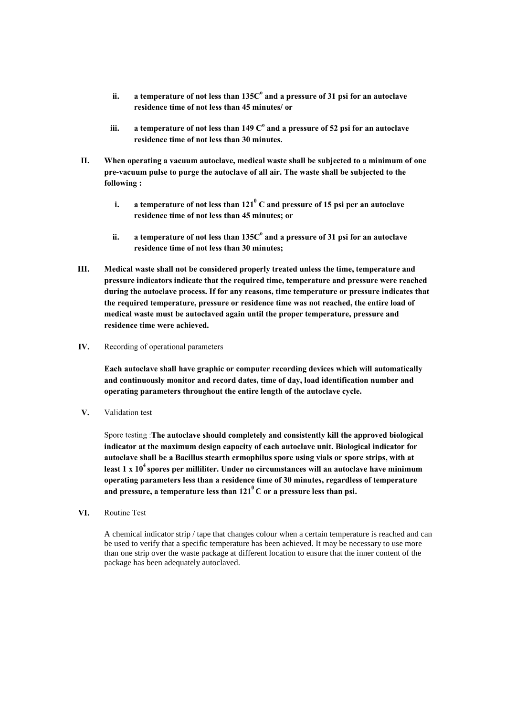- ii. a temperature of not less than 135C $^{\rm o}$  and a pressure of 31 psi for an autoclave **residence time of not less than 45 minutes/ or**
- **iii. a temperature of not less than 149 C<sup>o</sup> and a pressure of 52 psi for an autoclave residence time of not less than 30 minutes.**
- **II. When operating a vacuum autoclave, medical waste shall be subjected to a minimum of one pre-vacuum pulse to purge the autoclave of all air. The waste shall be subjected to the following :** 
	- **i. a temperature of not less than 121<sup>0</sup> C and pressure of 15 psi per an autoclave residence time of not less than 45 minutes; or**
	- ii. a temperature of not less than 135C $^{\rm o}$  and a pressure of 31 psi for an autoclave **residence time of not less than 30 minutes;**
- **III. Medical waste shall not be considered properly treated unless the time, temperature and pressure indicators indicate that the required time, temperature and pressure were reached during the autoclave process. If for any reasons, time temperature or pressure indicates that the required temperature, pressure or residence time was not reached, the entire load of medical waste must be autoclaved again until the proper temperature, pressure and residence time were achieved.**
- **IV.** Recording of operational parameters

**Each autoclave shall have graphic or computer recording devices which will automatically and continuously monitor and record dates, time of day, load identification number and operating parameters throughout the entire length of the autoclave cycle.** 

**V.** Validation test

Spore testing :**The autoclave should completely and consistently kill the approved biological indicator at the maximum design capacity of each autoclave unit. Biological indicator for autoclave shall be a Bacillus stearth ermophilus spore using vials or spore strips, with at least 1 x 10<sup>4</sup>spores per milliliter. Under no circumstances will an autoclave have minimum operating parameters less than a residence time of 30 minutes, regardless of temperature and pressure, a temperature less than 121<sup>0</sup>C or a pressure less than psi.** 

**VI.** Routine Test

A chemical indicator strip / tape that changes colour when a certain temperature is reached and can be used to verify that a specific temperature has been achieved. It may be necessary to use more than one strip over the waste package at different location to ensure that the inner content of the package has been adequately autoclaved.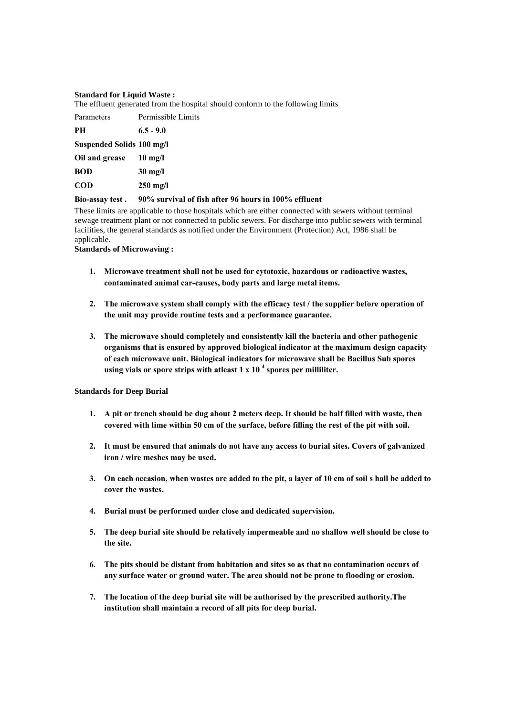#### **Standard for Liquid Waste :**

The effluent generated from the hospital should conform to the following limits

| Parameters                | Permissible Limits |
|---------------------------|--------------------|
| <b>PH</b>                 | $6.5 - 9.0$        |
| Suspended Solids 100 mg/l |                    |
| Oil and grease            | $10 \text{ mg/l}$  |
| <b>BOD</b>                | $30 \text{ mg/l}$  |
| <b>COD</b>                | $250 \text{ mg/l}$ |
|                           |                    |

#### **Bio-assay test . 90% survival of fish after 96 hours in 100% effluent**

These limits are applicable to those hospitals which are either connected with sewers without terminal sewage treatment plant or not connected to public sewers. For discharge into public sewers with terminal facilities, the general standards as notified under the Environment (Protection) Act, 1986 shall be applicable.

#### **Standards of Microwaving :**

- **1. Microwave treatment shall not be used for cytotoxic, hazardous or radioactive wastes, contaminated animal car-causes, body parts and large metal items.**
- **2. The microwave system shall comply with the efficacy test / the supplier before operation of the unit may provide routine tests and a performance guarantee.**
- **3. The microwave should completely and consistently kill the bacteria and other pathogenic organisms that is ensured by approved biological indicator at the maximum design capacity of each microwave unit. Biological indicators for microwave shall be Bacillus Sub spores using vials or spore strips with atleast 1 x 10 <sup>4</sup> spores per milliliter.**

### **Standards for Deep Burial**

- **1. A pit or trench should be dug about 2 meters deep. It should be half filled with waste, then covered with lime within 50 cm of the surface, before filling the rest of the pit with soil.**
- **2. It must be ensured that animals do not have any access to burial sites. Covers of galvanized iron / wire meshes may be used.**
- **3. On each occasion, when wastes are added to the pit, a layer of 10 cm of soil s hall be added to cover the wastes.**
- **4. Burial must be performed under close and dedicated supervision.**
- **5. The deep burial site should be relatively impermeable and no shallow well should be close to the site.**
- **6. The pits should be distant from habitation and sites so as that no contamination occurs of any surface water or ground water. The area should not be prone to flooding or erosion.**
- **7. The location of the deep burial site will be authorised by the prescribed authority.The institution shall maintain a record of all pits for deep burial.**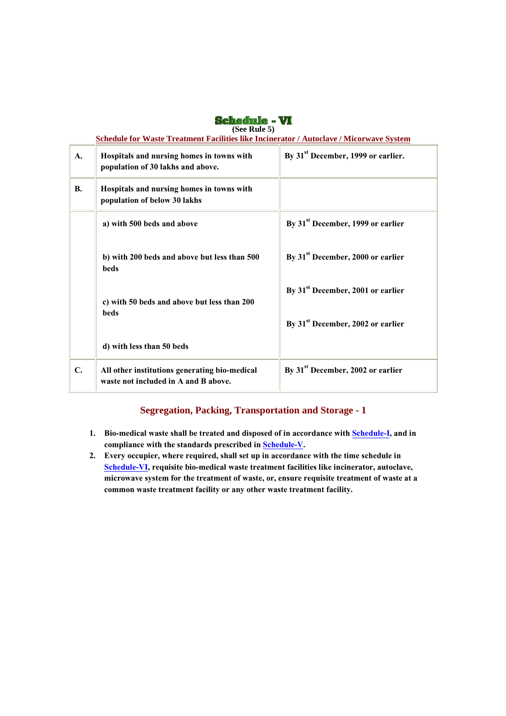| (See Rule 5)   |                                                                                         |                                                |  |  |
|----------------|-----------------------------------------------------------------------------------------|------------------------------------------------|--|--|
|                | Schedule for Waste Treatment Facilities like Incinerator / Autoclave / Micorwave System |                                                |  |  |
| $\mathbf{A}$ . | Hospitals and nursing homes in towns with<br>population of 30 lakhs and above.          | By 31 <sup>st</sup> December, 1999 or earlier. |  |  |
| <b>B.</b>      | Hospitals and nursing homes in towns with<br>population of below 30 lakhs               |                                                |  |  |
|                | a) with 500 beds and above                                                              | By 31 <sup>st</sup> December, 1999 or earlier  |  |  |
|                | b) with 200 beds and above but less than 500<br><b>beds</b>                             | By 31 <sup>st</sup> December, 2000 or earlier  |  |  |
|                | c) with 50 beds and above but less than 200<br>beds                                     | By 31 <sup>st</sup> December, 2001 or earlier  |  |  |
|                |                                                                                         | By 31 <sup>st</sup> December, 2002 or earlier  |  |  |
|                | d) with less than 50 beds                                                               |                                                |  |  |
| C.             | All other institutions generating bio-medical<br>waste not included in A and B above.   | By 31 <sup>st</sup> December, 2002 or earlier  |  |  |

**Schedule - VI** 

## **Segregation, Packing, Transportation and Storage - 1**

- **1. Bio-medical waste shall be treated and disposed of in accordance with Schedule-I, and in compliance with the standards prescribed in Schedule-V.**
- **2. Every occupier, where required, shall set up in accordance with the time schedule in Schedule-VI, requisite bio-medical waste treatment facilities like incinerator, autoclave, microwave system for the treatment of waste, or, ensure requisite treatment of waste at a common waste treatment facility or any other waste treatment facility.**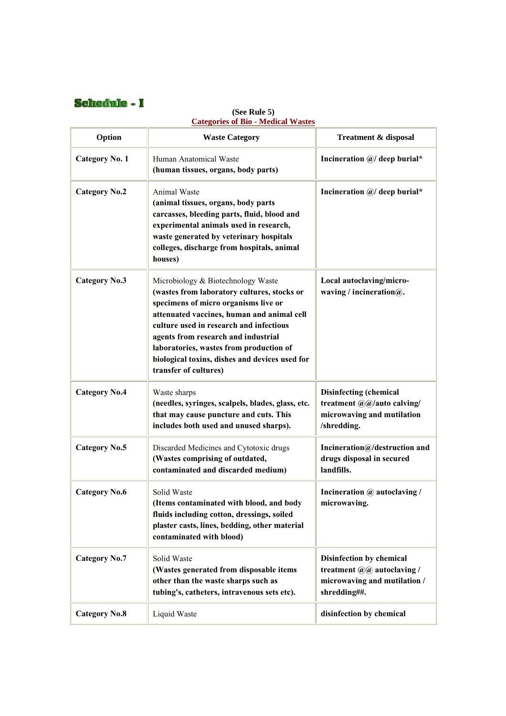## Schedule - I

#### **Option Waste Category Treatment & disposal Category No. 1** Human Anatomical Waste **(human tissues, organs, body parts) Incineration @/ deep burial\* Category No.2** Animal Waste **(animal tissues, organs, body parts carcasses, bleeding parts, fluid, blood and experimental animals used in research, waste generated by veterinary hospitals colleges, discharge from hospitals, animal houses) Incineration @/ deep burial\* Category No.3** Microbiology & Biotechnology Waste **(wastes from laboratory cultures, stocks or specimens of micro organisms live or attenuated vaccines, human and animal cell culture used in research and infectious agents from research and industrial laboratories, wastes from production of biological toxins, dishes and devices used for transfer of cultures) Local autoclaving/microwaving / incineration@. Category No.4** Waste sharps **(needles, syringes, scalpels, blades, glass, etc. that may cause puncture and cuts. This includes both used and unused sharps). Disinfecting (chemical treatment @@/auto calving/ microwaving and mutilation /shredding.** Category No.5 | Discarded Medicines and Cytotoxic drugs **(Wastes comprising of outdated, contaminated and discarded medium) Incineration@/destruction and drugs disposal in secured landfills. Category No.6** Solid Waste **(Items contaminated with blood, and body fluids including cotton, dressings, soiled plaster casts, lines, bedding, other material contaminated with blood) Incineration @ autoclaving / microwaving. Category No.7** Solid Waste **(Wastes generated from disposable items other than the waste sharps such as tubing's, catheters, intravenous sets etc). Disinfection by chemical treatment @@ autoclaving / microwaving and mutilation / shredding##. Category No.8** Liquid Waste **disinfection by chemical**

### **(See Rule 5) Categories of Bio - Medical Wastes**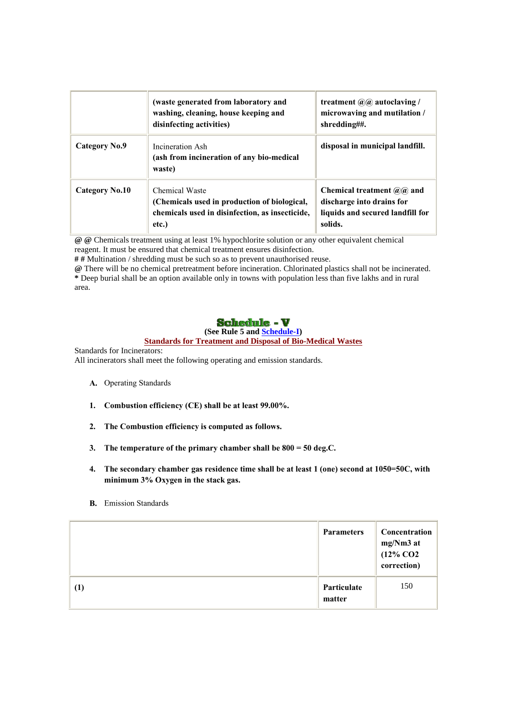|                       | (waste generated from laboratory and<br>washing, cleaning, house keeping and<br>disinfecting activities)                   | treatment $\mathcal{Q}(\mathbf{Q})$ autoclaving /<br>microwaving and mutilation /<br>shredding##.          |
|-----------------------|----------------------------------------------------------------------------------------------------------------------------|------------------------------------------------------------------------------------------------------------|
| Category No.9         | Incineration Ash<br>(ash from incineration of any bio-medical<br>waste)                                                    | disposal in municipal landfill.                                                                            |
| <b>Category No.10</b> | Chemical Waste<br>(Chemicals used in production of biological,<br>chemicals used in disinfection, as insecticide,<br>etc.) | Chemical treatment $(a/a)$ and<br>discharge into drains for<br>liquids and secured landfill for<br>solids. |

**@ @** Chemicals treatment using at least 1% hypochlorite solution or any other equivalent chemical reagent. It must be ensured that chemical treatment ensures disinfection.

**# #** Multination / shredding must be such so as to prevent unauthorised reuse.

**@** There will be no chemical pretreatment before incineration. Chlorinated plastics shall not be incinerated. **\*** Deep burial shall be an option available only in towns with population less than five lakhs and in rural area.

## **Schedule - V**

## **(See Rule 5 and Schedule-I)**

#### **Standards for Treatment and Disposal of Bio-Medical Wastes**

Standards for Incinerators:

All incinerators shall meet the following operating and emission standards.

- **A.** Operating Standards
- **1. Combustion efficiency (CE) shall be at least 99.00%.**
- **2. The Combustion efficiency is computed as follows.**
- **3. The temperature of the primary chamber shall be 800 = 50 deg.C.**
- **4. The secondary chamber gas residence time shall be at least 1 (one) second at 1050=50C, with minimum 3% Oxygen in the stack gas.**
- **B.** Emission Standards

|     | <b>Parameters</b>     | Concentration<br>mg/Nm3 at<br>$(12\%$ CO <sub>2</sub><br>correction) |
|-----|-----------------------|----------------------------------------------------------------------|
| (1) | Particulate<br>matter | 150                                                                  |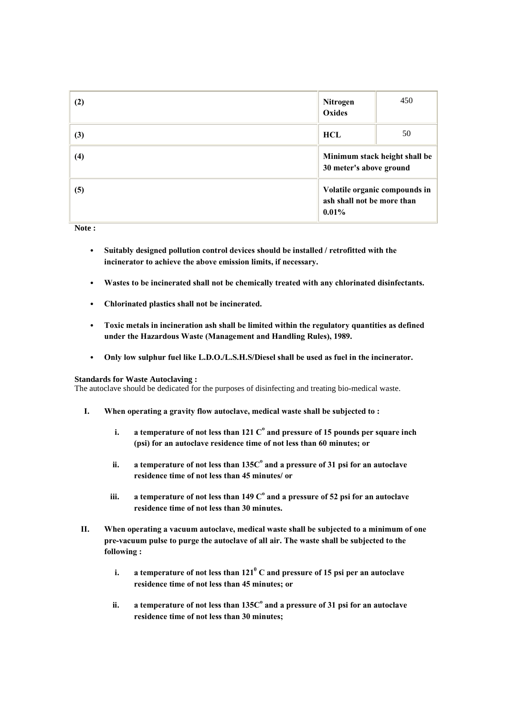| (2) | <b>Nitrogen</b><br>Oxides              | 450                           |
|-----|----------------------------------------|-------------------------------|
| (3) | <b>HCL</b>                             | 50                            |
| (4) | 30 meter's above ground                | Minimum stack height shall be |
| (5) | ash shall not be more than<br>$0.01\%$ | Volatile organic compounds in |

**Note :**

- **Suitably designed pollution control devices should be installed / retrofitted with the incinerator to achieve the above emission limits, if necessary.**
- **Wastes to be incinerated shall not be chemically treated with any chlorinated disinfectants.**
- **Chlorinated plastics shall not be incinerated.**
- **Toxic metals in incineration ash shall be limited within the regulatory quantities as defined under the Hazardous Waste (Management and Handling Rules), 1989.**
- **Only low sulphur fuel like L.D.O./L.S.H.S/Diesel shall be used as fuel in the incinerator.**

### **Standards for Waste Autoclaving :**

The autoclave should be dedicated for the purposes of disinfecting and treating bio-medical waste.

- **I. When operating a gravity flow autoclave, medical waste shall be subjected to :** 
	- **i.** a temperature of not less than 121  $\mathrm{C}^\mathrm{o}$  and pressure of 15 pounds per square inch  $\mathrm{C}^\mathrm{o}$ **(psi) for an autoclave residence time of not less than 60 minutes; or**
	- ii. a temperature of not less than 135C $^{\rm o}$  and a pressure of 31 psi for an autoclave **residence time of not less than 45 minutes/ or**
	- **iii. a temperature of not less than 149 C<sup>o</sup> and a pressure of 52 psi for an autoclave residence time of not less than 30 minutes.**
- **II. When operating a vacuum autoclave, medical waste shall be subjected to a minimum of one pre-vacuum pulse to purge the autoclave of all air. The waste shall be subjected to the following :** 
	- **i. a temperature of not less than 121<sup>0</sup> C and pressure of 15 psi per an autoclave residence time of not less than 45 minutes; or**
	- ii. a temperature of not less than 135C $^{\rm o}$  and a pressure of 31 psi for an autoclave **residence time of not less than 30 minutes;**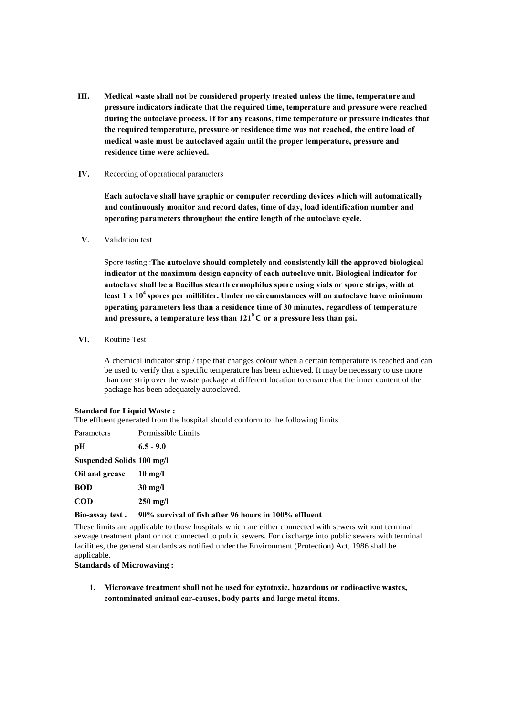**III. Medical waste shall not be considered properly treated unless the time, temperature and pressure indicators indicate that the required time, temperature and pressure were reached during the autoclave process. If for any reasons, time temperature or pressure indicates that the required temperature, pressure or residence time was not reached, the entire load of medical waste must be autoclaved again until the proper temperature, pressure and residence time were achieved.** 

#### **IV.** Recording of operational parameters

**Each autoclave shall have graphic or computer recording devices which will automatically and continuously monitor and record dates, time of day, load identification number and operating parameters throughout the entire length of the autoclave cycle.** 

#### **V.** Validation test

Spore testing :**The autoclave should completely and consistently kill the approved biological indicator at the maximum design capacity of each autoclave unit. Biological indicator for autoclave shall be a Bacillus stearth ermophilus spore using vials or spore strips, with at least 1 x 10<sup>4</sup>spores per milliliter. Under no circumstances will an autoclave have minimum operating parameters less than a residence time of 30 minutes, regardless of temperature and pressure, a temperature less than 121<sup>0</sup>C or a pressure less than psi.** 

**VI.** Routine Test

A chemical indicator strip / tape that changes colour when a certain temperature is reached and can be used to verify that a specific temperature has been achieved. It may be necessary to use more than one strip over the waste package at different location to ensure that the inner content of the package has been adequately autoclaved.

#### **Standard for Liquid Waste :**

The effluent generated from the hospital should conform to the following limits

| Parameters                | Permissible Limits |
|---------------------------|--------------------|
| pН                        | $6.5 - 9.0$        |
| Suspended Solids 100 mg/l |                    |
| Oil and grease            | $10 \text{ mg/l}$  |
| <b>BOD</b>                | $30 \text{ mg/l}$  |
| <b>COD</b>                | $250 \text{ mg/l}$ |

### **Bio-assay test . 90% survival of fish after 96 hours in 100% effluent**

These limits are applicable to those hospitals which are either connected with sewers without terminal sewage treatment plant or not connected to public sewers. For discharge into public sewers with terminal facilities, the general standards as notified under the Environment (Protection) Act, 1986 shall be applicable.

#### **Standards of Microwaving :**

**1. Microwave treatment shall not be used for cytotoxic, hazardous or radioactive wastes, contaminated animal car-causes, body parts and large metal items.**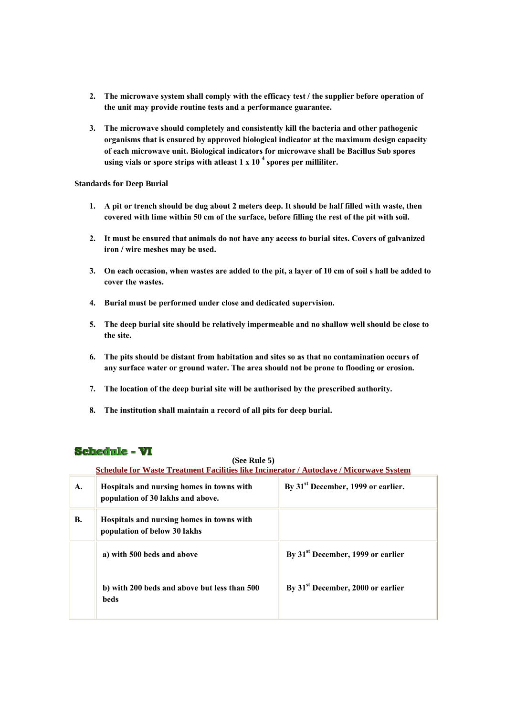- **2. The microwave system shall comply with the efficacy test / the supplier before operation of the unit may provide routine tests and a performance guarantee.**
- **3. The microwave should completely and consistently kill the bacteria and other pathogenic organisms that is ensured by approved biological indicator at the maximum design capacity of each microwave unit. Biological indicators for microwave shall be Bacillus Sub spores using vials or spore strips with atleast 1 x 10 <sup>4</sup> spores per milliliter.**

#### **Standards for Deep Burial**

- **1. A pit or trench should be dug about 2 meters deep. It should be half filled with waste, then covered with lime within 50 cm of the surface, before filling the rest of the pit with soil.**
- **2. It must be ensured that animals do not have any access to burial sites. Covers of galvanized iron / wire meshes may be used.**
- **3. On each occasion, when wastes are added to the pit, a layer of 10 cm of soil s hall be added to cover the wastes.**
- **4. Burial must be performed under close and dedicated supervision.**
- **5. The deep burial site should be relatively impermeable and no shallow well should be close to the site.**
- **6. The pits should be distant from habitation and sites so as that no contamination occurs of any surface water or ground water. The area should not be prone to flooding or erosion.**
- **7. The location of the deep burial site will be authorised by the prescribed authority.**
- **8. The institution shall maintain a record of all pits for deep burial.**

## **Schedule - VI**

### **(See Rule 5)**

**Schedule for Waste Treatment Facilities like Incinerator / Autoclave / Micorwave System**

| A. | Hospitals and nursing homes in towns with<br>population of 30 lakhs and above. | By 31 <sup>st</sup> December, 1999 or earlier. |
|----|--------------------------------------------------------------------------------|------------------------------------------------|
| В. | Hospitals and nursing homes in towns with<br>population of below 30 lakhs      |                                                |
|    | a) with 500 beds and above                                                     | By 31 <sup>st</sup> December, 1999 or earlier  |
|    | b) with 200 beds and above but less than 500<br>beds                           | By 31 <sup>st</sup> December, 2000 or earlier  |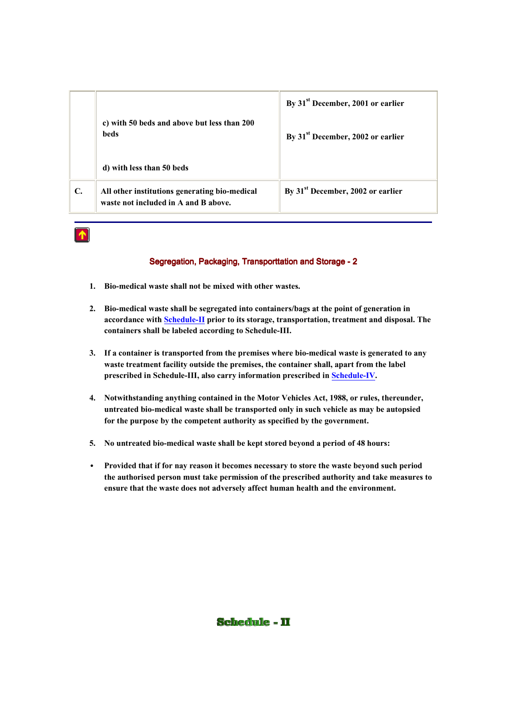|    |                                                                                       | By 31 <sup>st</sup> December, 2001 or earlier |  |  |
|----|---------------------------------------------------------------------------------------|-----------------------------------------------|--|--|
|    | c) with 50 beds and above but less than 200<br>beds                                   | By 31 <sup>st</sup> December, 2002 or earlier |  |  |
|    | d) with less than 50 beds                                                             |                                               |  |  |
| C. | All other institutions generating bio-medical<br>waste not included in A and B above. | By 31 <sup>st</sup> December, 2002 or earlier |  |  |



## Segregation, Packaging, Transporttation and Storage -2

- **1. Bio-medical waste shall not be mixed with other wastes.**
- **2. Bio-medical waste shall be segregated into containers/bags at the point of generation in accordance with Schedule-II prior to its storage, transportation, treatment and disposal. The containers shall be labeled according to Schedule-III.**
- **3. If a container is transported from the premises where bio-medical waste is generated to any waste treatment facility outside the premises, the container shall, apart from the label prescribed in Schedule-III, also carry information prescribed in Schedule-IV.**
- **4. Notwithstanding anything contained in the Motor Vehicles Act, 1988, or rules, thereunder, untreated bio-medical waste shall be transported only in such vehicle as may be autopsied for the purpose by the competent authority as specified by the government.**
- **5. No untreated bio-medical waste shall be kept stored beyond a period of 48 hours:**
- **Provided that if for nay reason it becomes necessary to store the waste beyond such period the authorised person must take permission of the prescribed authority and take measures to ensure that the waste does not adversely affect human health and the environment.**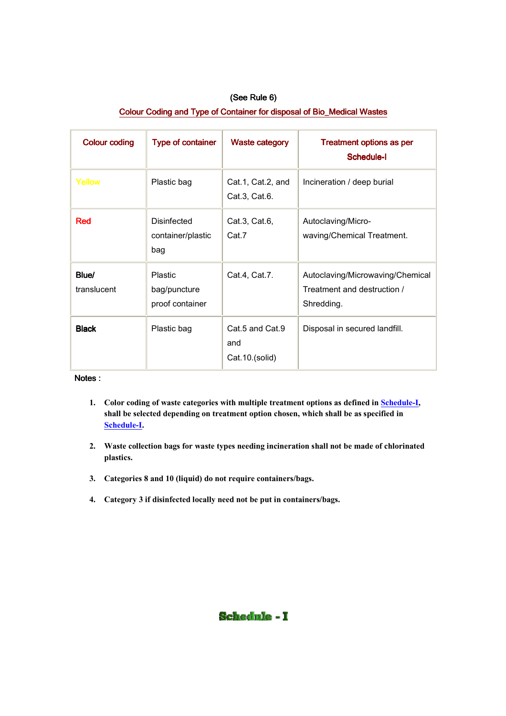| (See Rule 6)                                                           |
|------------------------------------------------------------------------|
| Colour Coding and Type of Container for disposal of Bio_Medical Wastes |

| <b>Colour coding</b> | <b>Type of container</b>                          | <b>Waste category</b>                    | <b>Treatment options as per</b><br>Schedule-I                                 |
|----------------------|---------------------------------------------------|------------------------------------------|-------------------------------------------------------------------------------|
| Yellow               | Plastic bag                                       | Cat.1, Cat.2, and<br>Cat.3, Cat.6.       | Incineration / deep burial                                                    |
| <b>Red</b>           | Disinfected<br>container/plastic<br>bag           | Cat.3, Cat.6,<br>Cat.7                   | Autoclaving/Micro-<br>waving/Chemical Treatment.                              |
| Blue/<br>translucent | <b>Plastic</b><br>bag/puncture<br>proof container | Cat.4, Cat.7.                            | Autoclaving/Microwaving/Chemical<br>Treatment and destruction /<br>Shredding. |
| <b>Black</b>         | Plastic bag                                       | Cat.5 and Cat.9<br>and<br>Cat.10.(solid) | Disposal in secured landfill.                                                 |

## Notes :

- **1. Color coding of waste categories with multiple treatment options as defined in Schedule-I, shall be selected depending on treatment option chosen, which shall be as specified in Schedule-I.**
- **2. Waste collection bags for waste types needing incineration shall not be made of chlorinated plastics.**
- **3. Categories 8 and 10 (liquid) do not require containers/bags.**
- **4. Category 3 if disinfected locally need not be put in containers/bags.**

## **Schedule - I**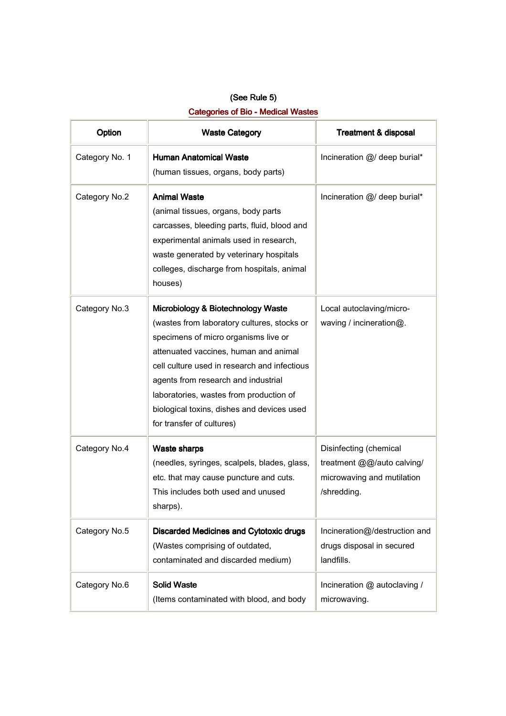| (See Rule 5)                              |  |  |
|-------------------------------------------|--|--|
| <b>Categories of Bio - Medical Wastes</b> |  |  |

| Option<br><b>Waste Category</b> |                                                                                                                                                                                                                                                                                                                                                                                 | <b>Treatment &amp; disposal</b>                                                                   |  |
|---------------------------------|---------------------------------------------------------------------------------------------------------------------------------------------------------------------------------------------------------------------------------------------------------------------------------------------------------------------------------------------------------------------------------|---------------------------------------------------------------------------------------------------|--|
| Category No. 1                  | <b>Human Anatomical Waste</b><br>(human tissues, organs, body parts)                                                                                                                                                                                                                                                                                                            | Incineration @/ deep burial*                                                                      |  |
| Category No.2                   | <b>Animal Waste</b><br>(animal tissues, organs, body parts<br>carcasses, bleeding parts, fluid, blood and<br>experimental animals used in research,<br>waste generated by veterinary hospitals<br>colleges, discharge from hospitals, animal<br>houses)                                                                                                                         | Incineration @/ deep burial*                                                                      |  |
| Category No.3                   | Microbiology & Biotechnology Waste<br>(wastes from laboratory cultures, stocks or<br>specimens of micro organisms live or<br>attenuated vaccines, human and animal<br>cell culture used in research and infectious<br>agents from research and industrial<br>laboratories, wastes from production of<br>biological toxins, dishes and devices used<br>for transfer of cultures) | Local autoclaving/micro-<br>waving / incineration@.                                               |  |
| Category No.4                   | <b>Waste sharps</b><br>(needles, syringes, scalpels, blades, glass,<br>etc. that may cause puncture and cuts.<br>This includes both used and unused<br>sharps).                                                                                                                                                                                                                 | Disinfecting (chemical<br>treatment @@/auto calving/<br>microwaving and mutilation<br>/shredding. |  |
| Category No.5                   | <b>Discarded Medicines and Cytotoxic drugs</b><br>(Wastes comprising of outdated,<br>contaminated and discarded medium)                                                                                                                                                                                                                                                         | Incineration@/destruction and<br>drugs disposal in secured<br>landfills.                          |  |
| Category No.6                   | <b>Solid Waste</b><br>(Items contaminated with blood, and body                                                                                                                                                                                                                                                                                                                  | Incineration @ autoclaving /<br>microwaving.                                                      |  |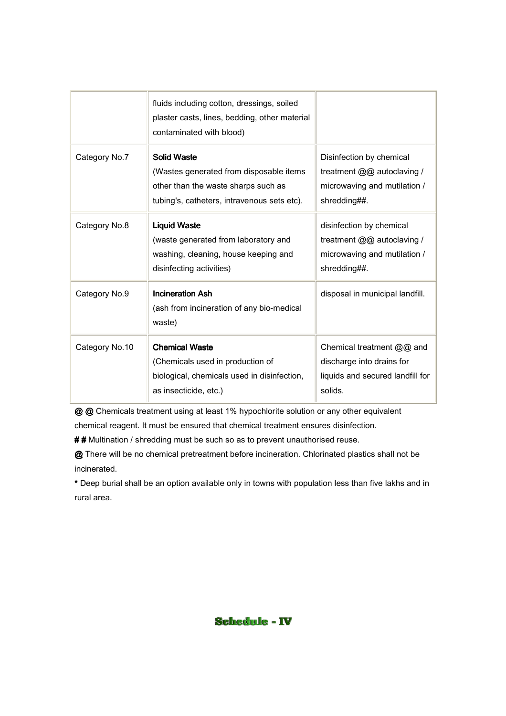|                | fluids including cotton, dressings, soiled<br>plaster casts, lines, bedding, other material<br>contaminated with blood)                             |                                                                                                        |
|----------------|-----------------------------------------------------------------------------------------------------------------------------------------------------|--------------------------------------------------------------------------------------------------------|
| Category No.7  | <b>Solid Waste</b><br>(Wastes generated from disposable items<br>other than the waste sharps such as<br>tubing's, catheters, intravenous sets etc). | Disinfection by chemical<br>treatment @@ autoclaving /<br>microwaving and mutilation /<br>shredding##. |
| Category No.8  | <b>Liquid Waste</b><br>(waste generated from laboratory and<br>washing, cleaning, house keeping and<br>disinfecting activities)                     | disinfection by chemical<br>treatment @@ autoclaving /<br>microwaving and mutilation /<br>shredding##. |
| Category No.9  | <b>Incineration Ash</b><br>(ash from incineration of any bio-medical<br>waste)                                                                      | disposal in municipal landfill.                                                                        |
| Category No.10 | <b>Chemical Waste</b><br>(Chemicals used in production of<br>biological, chemicals used in disinfection,<br>as insecticide, etc.)                   | Chemical treatment @@ and<br>discharge into drains for<br>liquids and secured landfill for<br>solids.  |

@ @ Chemicals treatment using at least 1% hypochlorite solution or any other equivalent

chemical reagent. It must be ensured that chemical treatment ensures disinfection.

## Multination / shredding must be such so as to prevent unauthorised reuse.

@ There will be no chemical pretreatment before incineration. Chlorinated plastics shall not be incinerated.

\* Deep burial shall be an option available only in towns with population less than five lakhs and in rural area.